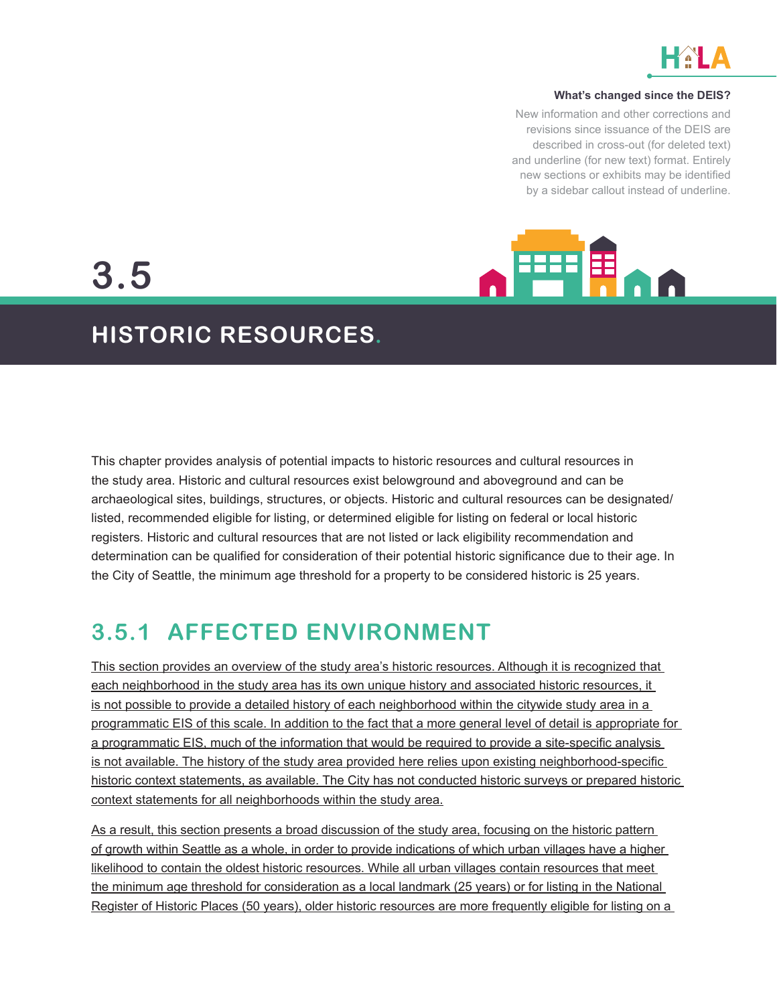

#### **What's changed since the DEIS?**

New information and other corrections and revisions since issuance of the DEIS are described in cross-out (for deleted text) and underline (for new text) format. Entirely new sections or exhibits may be identified by a sidebar callout instead of underline.



**3.5**

## **HISTORIC RESOURCES.**

This chapter provides analysis of potential impacts to historic resources and cultural resources in the study area. Historic and cultural resources exist belowground and aboveground and can be archaeological sites, buildings, structures, or objects. Historic and cultural resources can be designated/ listed, recommended eligible for listing, or determined eligible for listing on federal or local historic registers. Historic and cultural resources that are not listed or lack eligibility recommendation and determination can be qualified for consideration of their potential historic significance due to their age. In the City of Seattle, the minimum age threshold for a property to be considered historic is 25 years.

## **3.5.1 AFFECTED ENVIRONMENT**

This section provides an overview of the study area's historic resources. Although it is recognized that each neighborhood in the study area has its own unique history and associated historic resources, it is not possible to provide a detailed history of each neighborhood within the citywide study area in a programmatic EIS of this scale. In addition to the fact that a more general level of detail is appropriate for a programmatic EIS, much of the information that would be required to provide a site-specific analysis is not available. The history of the study area provided here relies upon existing neighborhood-specific historic context statements, as available. The City has not conducted historic surveys or prepared historic context statements for all neighborhoods within the study area.

As a result, this section presents a broad discussion of the study area, focusing on the historic pattern of growth within Seattle as a whole, in order to provide indications of which urban villages have a higher likelihood to contain the oldest historic resources. While all urban villages contain resources that meet the minimum age threshold for consideration as a local landmark (25 years) or for listing in the National Register of Historic Places (50 years), older historic resources are more frequently eligible for listing on a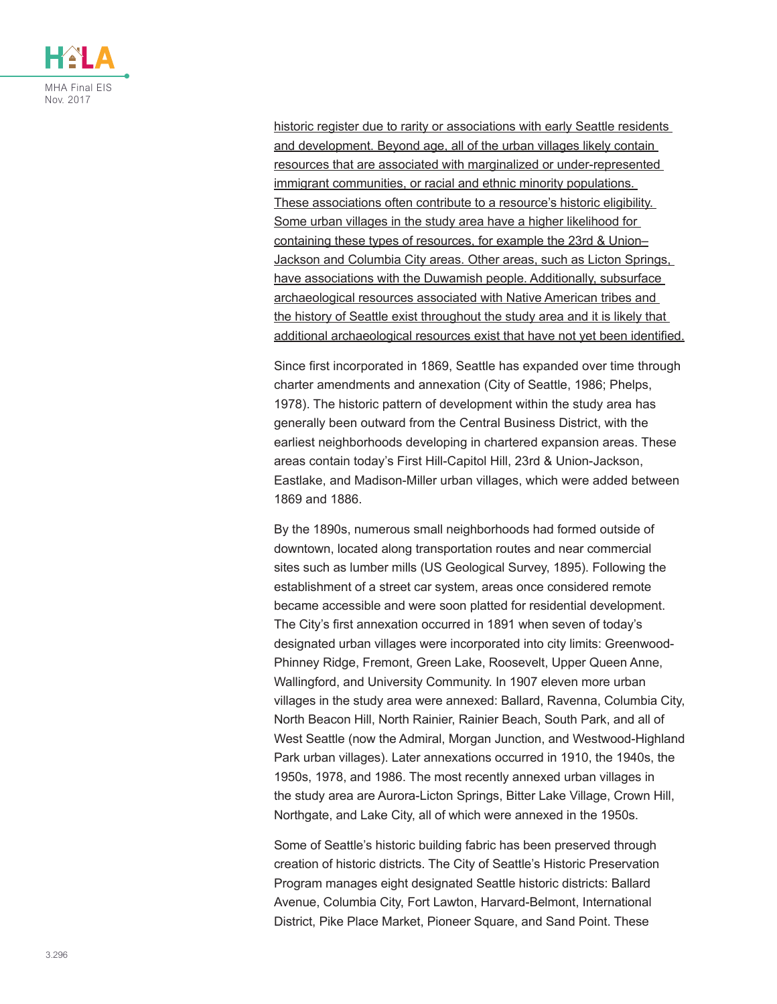

historic register due to rarity or associations with early Seattle residents and development. Beyond age, all of the urban villages likely contain resources that are associated with marginalized or under-represented immigrant communities, or racial and ethnic minority populations. These associations often contribute to a resource's historic eligibility. Some urban villages in the study area have a higher likelihood for containing these types of resources, for example the 23rd & Union– Jackson and Columbia City areas. Other areas, such as Licton Springs, have associations with the Duwamish people. Additionally, subsurface archaeological resources associated with Native American tribes and the history of Seattle exist throughout the study area and it is likely that additional archaeological resources exist that have not yet been identified.

Since first incorporated in 1869, Seattle has expanded over time through charter amendments and annexation (City of Seattle, 1986; Phelps, 1978). The historic pattern of development within the study area has generally been outward from the Central Business District, with the earliest neighborhoods developing in chartered expansion areas. These areas contain today's First Hill-Capitol Hill, 23rd & Union-Jackson, Eastlake, and Madison-Miller urban villages, which were added between 1869 and 1886.

By the 1890s, numerous small neighborhoods had formed outside of downtown, located along transportation routes and near commercial sites such as lumber mills (US Geological Survey, 1895). Following the establishment of a street car system, areas once considered remote became accessible and were soon platted for residential development. The City's first annexation occurred in 1891 when seven of today's designated urban villages were incorporated into city limits: Greenwood-Phinney Ridge, Fremont, Green Lake, Roosevelt, Upper Queen Anne, Wallingford, and University Community. In 1907 eleven more urban villages in the study area were annexed: Ballard, Ravenna, Columbia City, North Beacon Hill, North Rainier, Rainier Beach, South Park, and all of West Seattle (now the Admiral, Morgan Junction, and Westwood-Highland Park urban villages). Later annexations occurred in 1910, the 1940s, the 1950s, 1978, and 1986. The most recently annexed urban villages in the study area are Aurora-Licton Springs, Bitter Lake Village, Crown Hill, Northgate, and Lake City, all of which were annexed in the 1950s.

Some of Seattle's historic building fabric has been preserved through creation of historic districts. The City of Seattle's Historic Preservation Program manages eight designated Seattle historic districts: Ballard Avenue, Columbia City, Fort Lawton, Harvard-Belmont, International District, Pike Place Market, Pioneer Square, and Sand Point. These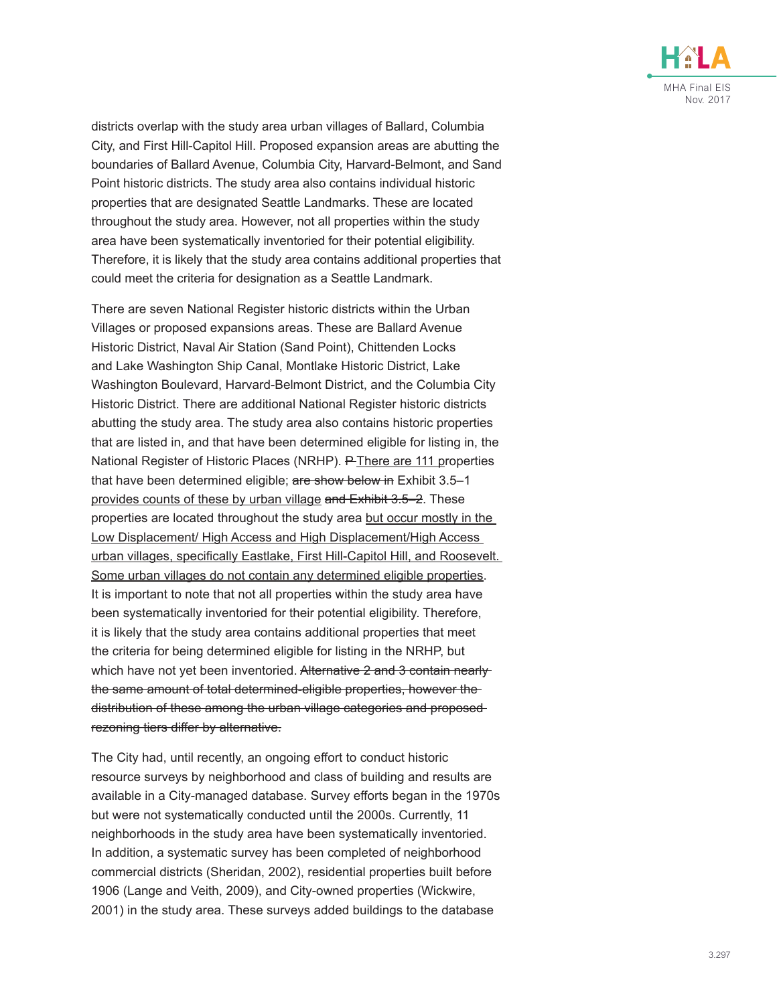

districts overlap with the study area urban villages of Ballard, Columbia City, and First Hill-Capitol Hill. Proposed expansion areas are abutting the boundaries of Ballard Avenue, Columbia City, Harvard-Belmont, and Sand Point historic districts. The study area also contains individual historic properties that are designated Seattle Landmarks. These are located throughout the study area. However, not all properties within the study area have been systematically inventoried for their potential eligibility. Therefore, it is likely that the study area contains additional properties that could meet the criteria for designation as a Seattle Landmark.

There are seven National Register historic districts within the Urban Villages or proposed expansions areas. These are Ballard Avenue Historic District, Naval Air Station (Sand Point), Chittenden Locks and Lake Washington Ship Canal, Montlake Historic District, Lake Washington Boulevard, Harvard-Belmont District, and the Columbia City Historic District. There are additional National Register historic districts abutting the study area. The study area also contains historic properties that are listed in, and that have been determined eligible for listing in, the National Register of Historic Places (NRHP). P-There are 111 properties that have been determined eligible; are show below in Exhibit 3.5-1 provides counts of these by urban village and Exhibit 3.5–2. These properties are located throughout the study area but occur mostly in the Low Displacement/ High Access and High Displacement/High Access urban villages, specifically Eastlake, First Hill-Capitol Hill, and Roosevelt. Some urban villages do not contain any determined eligible properties. It is important to note that not all properties within the study area have been systematically inventoried for their potential eligibility. Therefore, it is likely that the study area contains additional properties that meet the criteria for being determined eligible for listing in the NRHP, but which have not yet been inventoried. Alternative 2 and 3 contain nearly the same amount of total determined-eligible properties, however the distribution of these among the urban village categories and proposed rezoning tiers differ by alternative.

The City had, until recently, an ongoing effort to conduct historic resource surveys by neighborhood and class of building and results are available in a City-managed database. Survey efforts began in the 1970s but were not systematically conducted until the 2000s. Currently, 11 neighborhoods in the study area have been systematically inventoried. In addition, a systematic survey has been completed of neighborhood commercial districts (Sheridan, 2002), residential properties built before 1906 (Lange and Veith, 2009), and City-owned properties (Wickwire, 2001) in the study area. These surveys added buildings to the database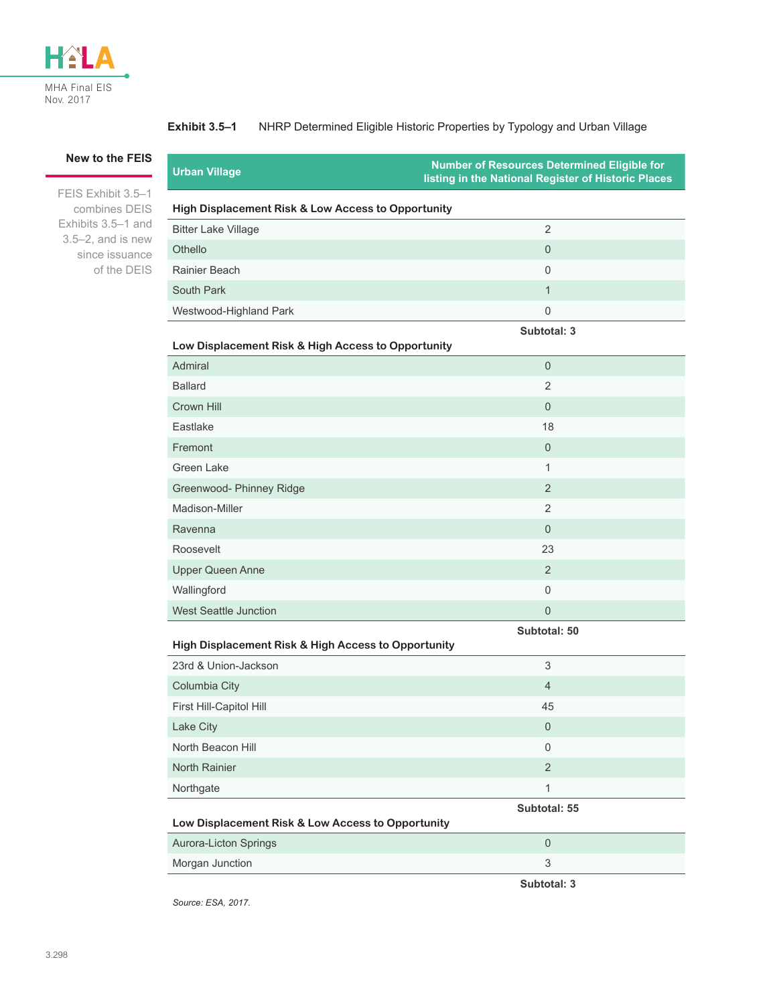

#### **Exhibit 3.5–1** NHRP Determined Eligible Historic Properties by Typology and Urban Village

#### **New to the FEIS**

FEIS [Exhibit 3.5–1](#page-3-0) combines DEIS Exhibits 3.5–1 and 3.5–2, and is new since issuance of the DEIS

| Urban Village                                      | listing in the National Register of Historic Places |  |  |
|----------------------------------------------------|-----------------------------------------------------|--|--|
| High Displacement Risk & Low Access to Opportunity |                                                     |  |  |
| <b>Bitter Lake Village</b>                         |                                                     |  |  |
| Othello                                            | $\Omega$                                            |  |  |
| Rainier Beach                                      | $\Omega$                                            |  |  |
|                                                    |                                                     |  |  |

### **Low Displacement Risk & High Access to Opportunity**

South Park 1 and 1 and 1 and 1 and 1 and 1 and 1 and 1 and 1 and 1 and 1 and 1 and 1 and 1 and 1 and 1 and 1 and 1 and 1 and 1 and 1 and 1 and 1 and 1 and 1 and 1 and 1 and 1 and 1 and 1 and 1 and 1 and 1 and 1 and 1 and 1 Westwood-Highland Park 0

| Admiral                      | $\overline{0}$ |
|------------------------------|----------------|
| <b>Ballard</b>               | 2              |
| Crown Hill                   | $\theta$       |
| Eastlake                     | 18             |
| Fremont                      | $\overline{0}$ |
| Green Lake                   | $\mathbf{1}$   |
| Greenwood- Phinney Ridge     | 2              |
| Madison-Miller               | 2              |
| Ravenna                      | $\Omega$       |
| Roosevelt                    | 23             |
| <b>Upper Queen Anne</b>      | 2              |
| Wallingford                  | $\mathbf{0}$   |
| <b>West Seattle Junction</b> | $\mathbf{0}$   |

**Subtotal: 50**

<span id="page-3-0"></span>**Number of Resources Determined Eligible for** 

**Subtotal: 3**

| High Displacement Risk & High Access to Opportunity |                |  |  |
|-----------------------------------------------------|----------------|--|--|
| 23rd & Union-Jackson                                | 3              |  |  |
| Columbia City                                       | $\overline{4}$ |  |  |
| First Hill-Capitol Hill                             | 45             |  |  |
| Lake City                                           | $\Omega$       |  |  |
| North Beacon Hill                                   | $\Omega$       |  |  |
| North Rainier                                       | 2              |  |  |
| Northgate                                           |                |  |  |

**Subtotal: 55**

#### **Low Displacement Risk & Low Access to Opportunity**

| Aurora-Licton Springs |  |
|-----------------------|--|
| Morgan Junction       |  |
|                       |  |

*Source: ESA, 2017.*

**Subtotal: 3**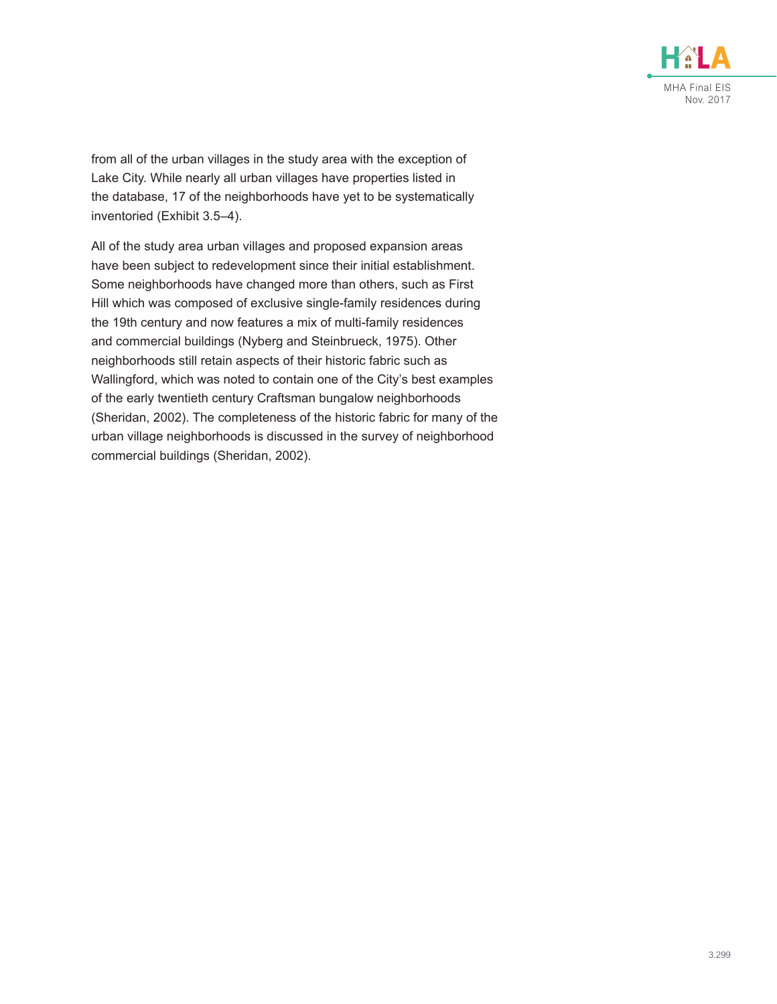

from all of the urban villages in the study area with the exception of Lake City. While nearly all urban villages have properties listed in the database, 17 of the neighborhoods have yet to be systematically inventoried ([Exhibit 3.5–4](#page-7-0)).

All of the study area urban villages and proposed expansion areas have been subject to redevelopment since their initial establishment. Some neighborhoods have changed more than others, such as First Hill which was composed of exclusive single-family residences during the 19th century and now features a mix of multi-family residences and commercial buildings (Nyberg and Steinbrueck, 1975). Other neighborhoods still retain aspects of their historic fabric such as Wallingford, which was noted to contain one of the City's best examples of the early twentieth century Craftsman bungalow neighborhoods (Sheridan, 2002). The completeness of the historic fabric for many of the urban village neighborhoods is discussed in the survey of neighborhood commercial buildings (Sheridan, 2002).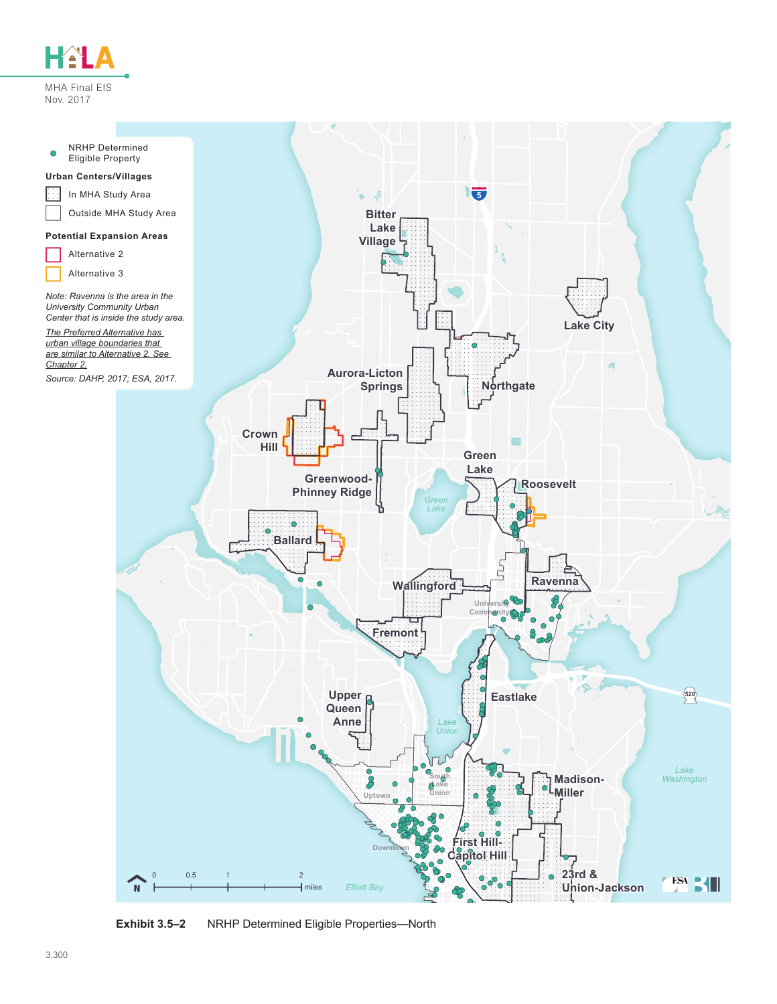



**Exhibit 3.5–2** NRHP Determined Eligible Properties—North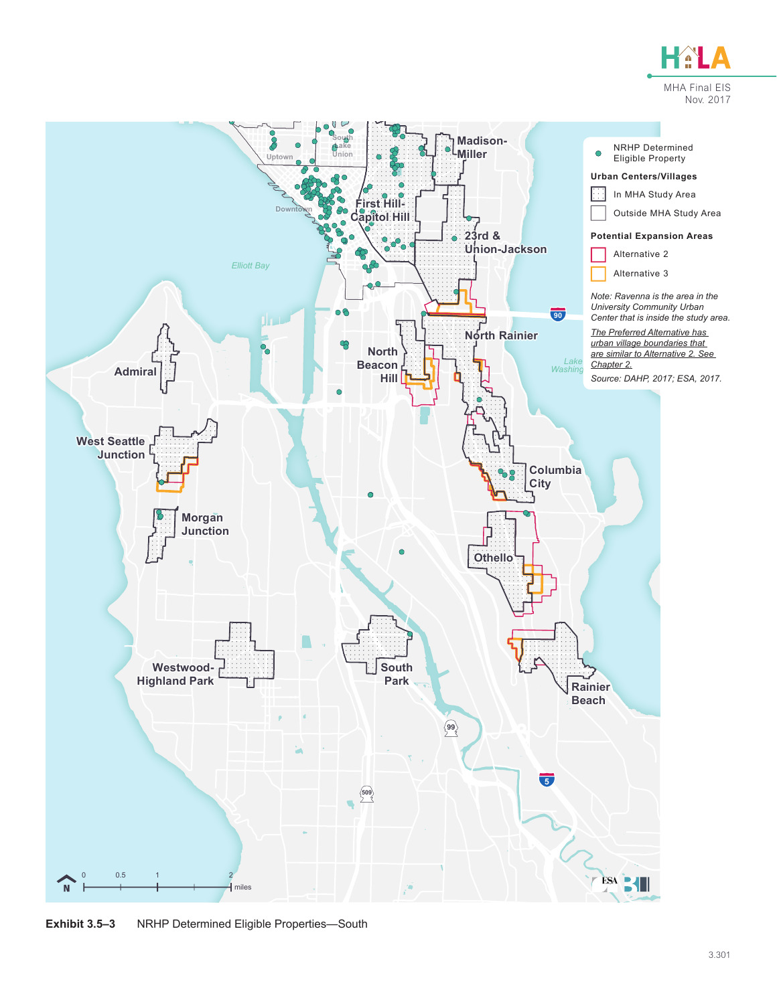



**Exhibit 3.5–3** NRHP Determined Eligible Properties—South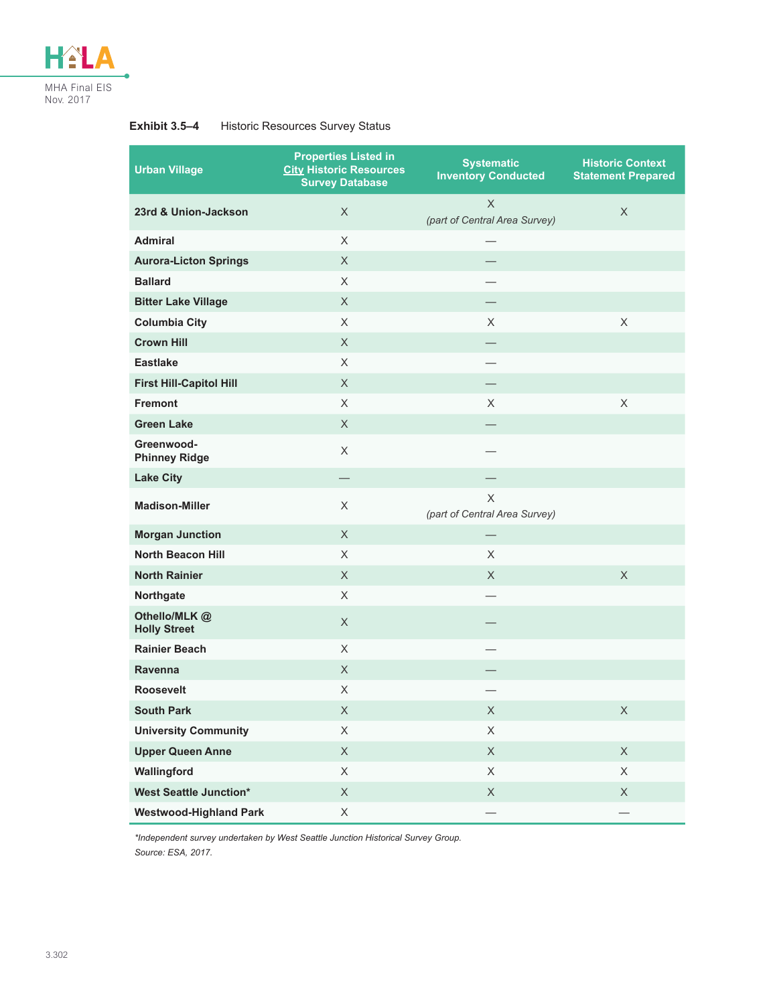

#### **Exhibit 3.5–4** Historic Resources Survey Status

<span id="page-7-0"></span>

| <b>Urban Village</b>                | <b>Properties Listed in</b><br><b>City Historic Resources</b><br><b>Survey Database</b> | <b>Systematic</b><br><b>Inventory Conducted</b> | <b>Historic Context</b><br><b>Statement Prepared</b> |
|-------------------------------------|-----------------------------------------------------------------------------------------|-------------------------------------------------|------------------------------------------------------|
| 23rd & Union-Jackson                | $\times$                                                                                | $\times$<br>(part of Central Area Survey)       | $\times$                                             |
| <b>Admiral</b>                      | X                                                                                       |                                                 |                                                      |
| <b>Aurora-Licton Springs</b>        | $\times$                                                                                |                                                 |                                                      |
| <b>Ballard</b>                      | $\times$                                                                                |                                                 |                                                      |
| <b>Bitter Lake Village</b>          | X                                                                                       |                                                 |                                                      |
| <b>Columbia City</b>                | $\times$                                                                                | $\times$                                        | $\times$                                             |
| <b>Crown Hill</b>                   | X                                                                                       |                                                 |                                                      |
| <b>Eastlake</b>                     | X                                                                                       |                                                 |                                                      |
| <b>First Hill-Capitol Hill</b>      | $\times$                                                                                | $\overline{\phantom{0}}$                        |                                                      |
| <b>Fremont</b>                      | X                                                                                       | X                                               | $\times$                                             |
| <b>Green Lake</b>                   | X                                                                                       |                                                 |                                                      |
| Greenwood-<br><b>Phinney Ridge</b>  | $\times$                                                                                |                                                 |                                                      |
| <b>Lake City</b>                    |                                                                                         |                                                 |                                                      |
| <b>Madison-Miller</b>               | $\times$                                                                                | X<br>(part of Central Area Survey)              |                                                      |
| <b>Morgan Junction</b>              | $\times$                                                                                |                                                 |                                                      |
| <b>North Beacon Hill</b>            | $\times$                                                                                | $\times$                                        |                                                      |
| <b>North Rainier</b>                | $\times$                                                                                | X.                                              | $\times$                                             |
| Northgate                           | $\times$                                                                                |                                                 |                                                      |
| Othello/MLK@<br><b>Holly Street</b> | X                                                                                       |                                                 |                                                      |
| <b>Rainier Beach</b>                | $\times$                                                                                |                                                 |                                                      |
| Ravenna                             | X                                                                                       |                                                 |                                                      |
| <b>Roosevelt</b>                    | X                                                                                       | -                                               |                                                      |
| <b>South Park</b>                   | X                                                                                       | X                                               | X                                                    |
| <b>University Community</b>         | X                                                                                       | X                                               |                                                      |
| <b>Upper Queen Anne</b>             | $\mathsf X$                                                                             | $\mathsf X$                                     | $\mathsf X$                                          |
| Wallingford                         | $\mathsf X$                                                                             | $\mathsf X$                                     | $\mathsf X$                                          |
| <b>West Seattle Junction*</b>       | $\mathsf X$                                                                             | $\mathsf X$                                     | $\mathsf X$                                          |
| <b>Westwood-Highland Park</b>       | $\mathsf X$                                                                             |                                                 |                                                      |

*\*Independent survey undertaken by West Seattle Junction Historical Survey Group. Source: ESA, 2017.*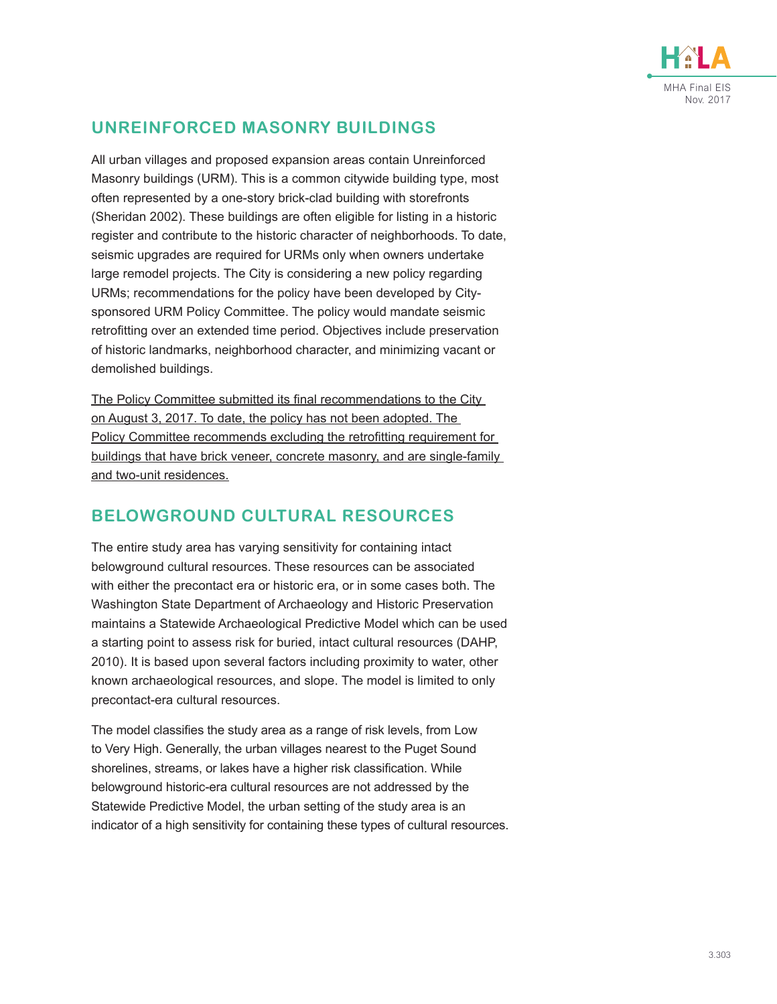

### **UNREINFORCED MASONRY BUILDINGS**

All urban villages and proposed expansion areas contain Unreinforced Masonry buildings (URM). This is a common citywide building type, most often represented by a one-story brick-clad building with storefronts (Sheridan 2002). These buildings are often eligible for listing in a historic register and contribute to the historic character of neighborhoods. To date, seismic upgrades are required for URMs only when owners undertake large remodel projects. The City is considering a new policy regarding URMs; recommendations for the policy have been developed by Citysponsored URM Policy Committee. The policy would mandate seismic retrofitting over an extended time period. Objectives include preservation of historic landmarks, neighborhood character, and minimizing vacant or demolished buildings.

The Policy Committee submitted its final recommendations to the City on August 3, 2017. To date, the policy has not been adopted. The Policy Committee recommends excluding the retrofitting requirement for buildings that have brick veneer, concrete masonry, and are single-family and two-unit residences.

### **BELOWGROUND CULTURAL RESOURCES**

The entire study area has varying sensitivity for containing intact belowground cultural resources. These resources can be associated with either the precontact era or historic era, or in some cases both. The Washington State Department of Archaeology and Historic Preservation maintains a Statewide Archaeological Predictive Model which can be used a starting point to assess risk for buried, intact cultural resources (DAHP, 2010). It is based upon several factors including proximity to water, other known archaeological resources, and slope. The model is limited to only precontact-era cultural resources.

The model classifies the study area as a range of risk levels, from Low to Very High. Generally, the urban villages nearest to the Puget Sound shorelines, streams, or lakes have a higher risk classification. While belowground historic-era cultural resources are not addressed by the Statewide Predictive Model, the urban setting of the study area is an indicator of a high sensitivity for containing these types of cultural resources.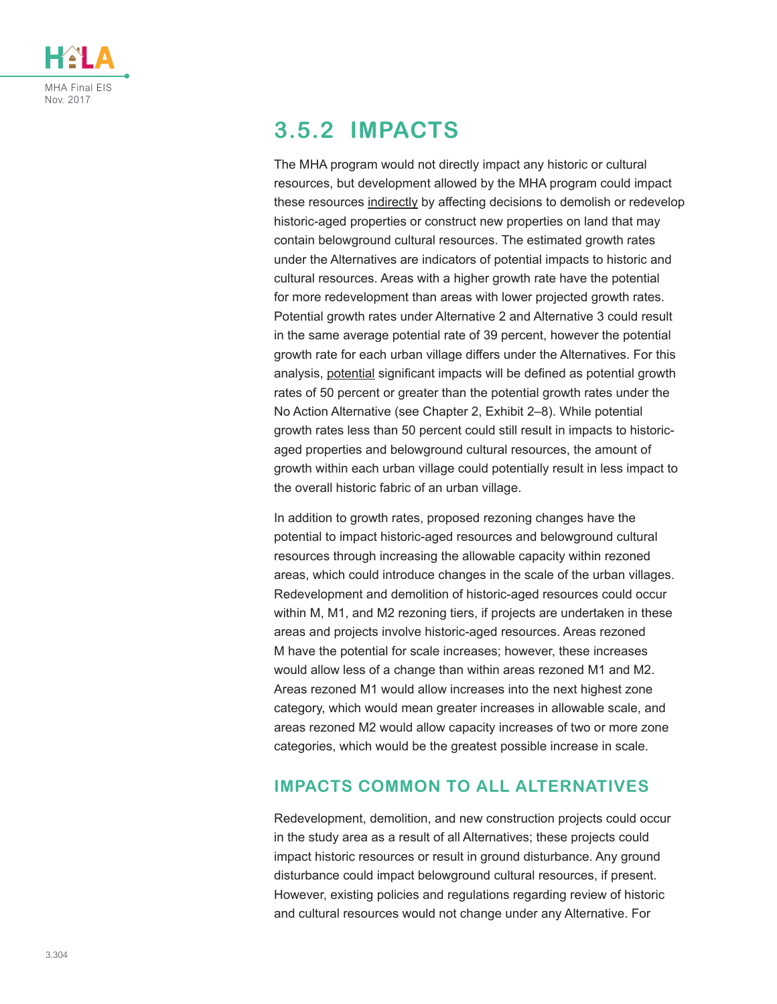

# **3.5.2 IMPACTS**

The MHA program would not directly impact any historic or cultural resources, but development allowed by the MHA program could impact these resources indirectly by affecting decisions to demolish or redevelop historic-aged properties or construct new properties on land that may contain belowground cultural resources. The estimated growth rates under the Alternatives are indicators of potential impacts to historic and cultural resources. Areas with a higher growth rate have the potential for more redevelopment than areas with lower projected growth rates. Potential growth rates under Alternative 2 and Alternative 3 could result in the same average potential rate of 39 percent, however the potential growth rate for each urban village differs under the Alternatives. For this analysis, potential significant impacts will be defined as potential growth rates of 50 percent or greater than the potential growth rates under the No Action Alternative (see Chapter 2, Exhibit 2–8). While potential growth rates less than 50 percent could still result in impacts to historicaged properties and belowground cultural resources, the amount of growth within each urban village could potentially result in less impact to the overall historic fabric of an urban village.

In addition to growth rates, proposed rezoning changes have the potential to impact historic-aged resources and belowground cultural resources through increasing the allowable capacity within rezoned areas, which could introduce changes in the scale of the urban villages. Redevelopment and demolition of historic-aged resources could occur within M, M1, and M2 rezoning tiers, if projects are undertaken in these areas and projects involve historic-aged resources. Areas rezoned M have the potential for scale increases; however, these increases would allow less of a change than within areas rezoned M1 and M2. Areas rezoned M1 would allow increases into the next highest zone category, which would mean greater increases in allowable scale, and areas rezoned M2 would allow capacity increases of two or more zone categories, which would be the greatest possible increase in scale.

### **IMPACTS COMMON TO ALL ALTERNATIVES**

Redevelopment, demolition, and new construction projects could occur in the study area as a result of all Alternatives; these projects could impact historic resources or result in ground disturbance. Any ground disturbance could impact belowground cultural resources, if present. However, existing policies and regulations regarding review of historic and cultural resources would not change under any Alternative. For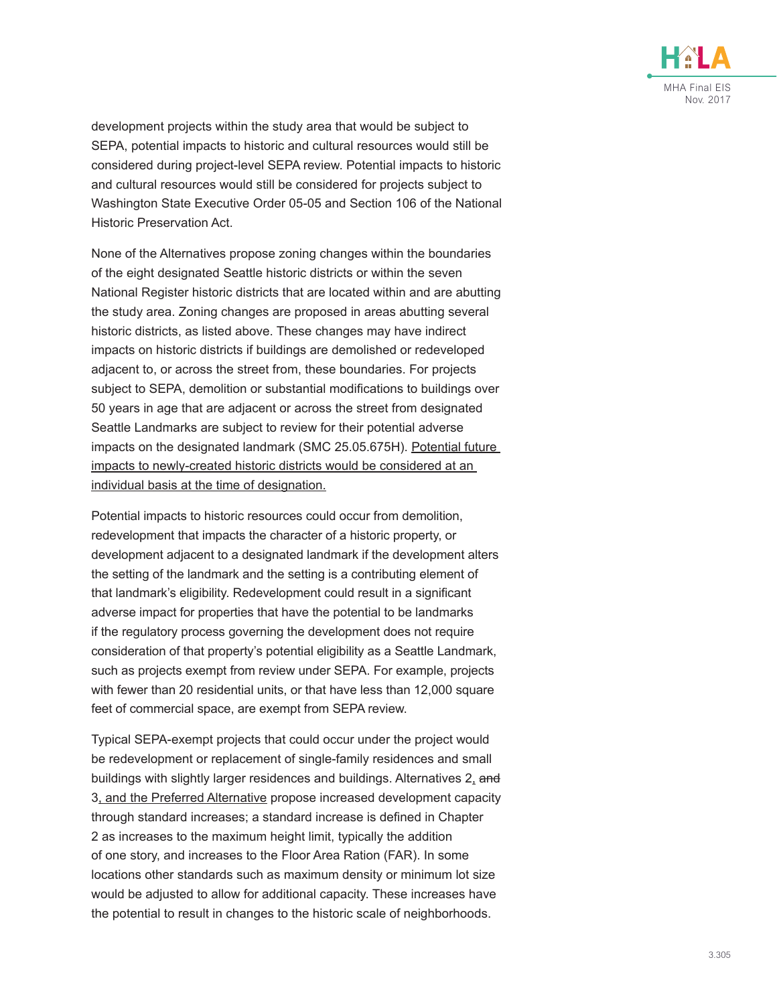

development projects within the study area that would be subject to SEPA, potential impacts to historic and cultural resources would still be considered during project-level SEPA review. Potential impacts to historic and cultural resources would still be considered for projects subject to Washington State Executive Order 05-05 and Section 106 of the National Historic Preservation Act.

None of the Alternatives propose zoning changes within the boundaries of the eight designated Seattle historic districts or within the seven National Register historic districts that are located within and are abutting the study area. Zoning changes are proposed in areas abutting several historic districts, as listed above. These changes may have indirect impacts on historic districts if buildings are demolished or redeveloped adjacent to, or across the street from, these boundaries. For projects subject to SEPA, demolition or substantial modifications to buildings over 50 years in age that are adjacent or across the street from designated Seattle Landmarks are subject to review for their potential adverse impacts on the designated landmark (SMC 25.05.675H). Potential future impacts to newly-created historic districts would be considered at an individual basis at the time of designation.

Potential impacts to historic resources could occur from demolition, redevelopment that impacts the character of a historic property, or development adjacent to a designated landmark if the development alters the setting of the landmark and the setting is a contributing element of that landmark's eligibility. Redevelopment could result in a significant adverse impact for properties that have the potential to be landmarks if the regulatory process governing the development does not require consideration of that property's potential eligibility as a Seattle Landmark, such as projects exempt from review under SEPA. For example, projects with fewer than 20 residential units, or that have less than 12,000 square feet of commercial space, are exempt from SEPA review.

Typical SEPA-exempt projects that could occur under the project would be redevelopment or replacement of single-family residences and small buildings with slightly larger residences and buildings. Alternatives 2, and 3, and the Preferred Alternative propose increased development capacity through standard increases; a standard increase is defined in Chapter 2 as increases to the maximum height limit, typically the addition of one story, and increases to the Floor Area Ration (FAR). In some locations other standards such as maximum density or minimum lot size would be adjusted to allow for additional capacity. These increases have the potential to result in changes to the historic scale of neighborhoods.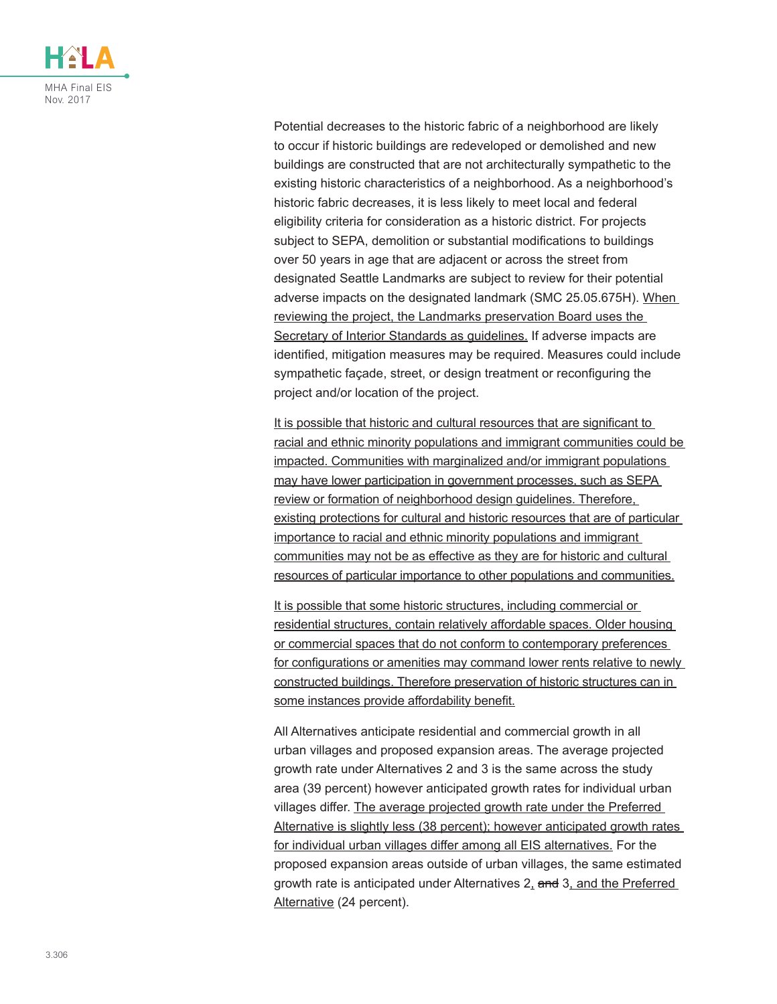

Potential decreases to the historic fabric of a neighborhood are likely to occur if historic buildings are redeveloped or demolished and new buildings are constructed that are not architecturally sympathetic to the existing historic characteristics of a neighborhood. As a neighborhood's historic fabric decreases, it is less likely to meet local and federal eligibility criteria for consideration as a historic district. For projects subject to SEPA, demolition or substantial modifications to buildings over 50 years in age that are adjacent or across the street from designated Seattle Landmarks are subject to review for their potential adverse impacts on the designated landmark (SMC 25.05.675H). When reviewing the project, the Landmarks preservation Board uses the Secretary of Interior Standards as guidelines. If adverse impacts are identified, mitigation measures may be required. Measures could include sympathetic façade, street, or design treatment or reconfiguring the project and/or location of the project.

It is possible that historic and cultural resources that are significant to racial and ethnic minority populations and immigrant communities could be impacted. Communities with marginalized and/or immigrant populations may have lower participation in government processes, such as SEPA review or formation of neighborhood design guidelines. Therefore, existing protections for cultural and historic resources that are of particular importance to racial and ethnic minority populations and immigrant communities may not be as effective as they are for historic and cultural resources of particular importance to other populations and communities.

It is possible that some historic structures, including commercial or residential structures, contain relatively affordable spaces. Older housing or commercial spaces that do not conform to contemporary preferences for configurations or amenities may command lower rents relative to newly constructed buildings. Therefore preservation of historic structures can in some instances provide affordability benefit.

All Alternatives anticipate residential and commercial growth in all urban villages and proposed expansion areas. The average projected growth rate under Alternatives 2 and 3 is the same across the study area (39 percent) however anticipated growth rates for individual urban villages differ. The average projected growth rate under the Preferred Alternative is slightly less (38 percent); however anticipated growth rates for individual urban villages differ among all EIS alternatives. For the proposed expansion areas outside of urban villages, the same estimated growth rate is anticipated under Alternatives 2, and 3, and the Preferred Alternative (24 percent).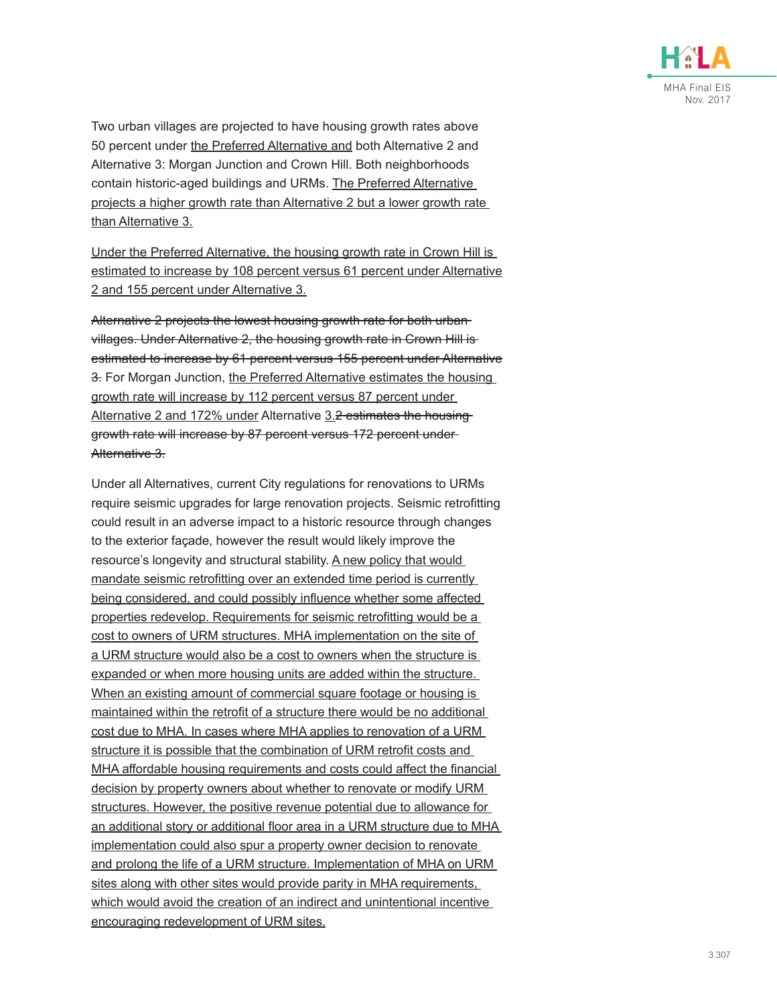

Two urban villages are projected to have housing growth rates above 50 percent under the Preferred Alternative and both Alternative 2 and Alternative 3: Morgan Junction and Crown Hill. Both neighborhoods contain historic-aged buildings and URMs. The Preferred Alternative projects a higher growth rate than Alternative 2 but a lower growth rate than Alternative 3.

Under the Preferred Alternative, the housing growth rate in Crown Hill is estimated to increase by 108 percent versus 61 percent under Alternative 2 and 155 percent under Alternative 3.

Alternative 2 projects the lowest housing growth rate for both urban villages. Under Alternative 2, the housing growth rate in Crown Hill is estimated to increase by 61 percent versus 155 percent under Alternative 3. For Morgan Junction, the Preferred Alternative estimates the housing growth rate will increase by 112 percent versus 87 percent under Alternative 2 and 172% under Alternative 3.2 estimates the housinggrowth rate will increase by 87 percent versus 172 percent under Alternative 3.

Under all Alternatives, current City regulations for renovations to URMs require seismic upgrades for large renovation projects. Seismic retrofitting could result in an adverse impact to a historic resource through changes to the exterior façade, however the result would likely improve the resource's longevity and structural stability. A new policy that would mandate seismic retrofitting over an extended time period is currently being considered, and could possibly influence whether some affected properties redevelop. Requirements for seismic retrofitting would be a cost to owners of URM structures. MHA implementation on the site of a URM structure would also be a cost to owners when the structure is expanded or when more housing units are added within the structure. When an existing amount of commercial square footage or housing is maintained within the retrofit of a structure there would be no additional cost due to MHA. In cases where MHA applies to renovation of a URM structure it is possible that the combination of URM retrofit costs and MHA affordable housing requirements and costs could affect the financial decision by property owners about whether to renovate or modify URM structures. However, the positive revenue potential due to allowance for an additional story or additional floor area in a URM structure due to MHA implementation could also spur a property owner decision to renovate and prolong the life of a URM structure. Implementation of MHA on URM sites along with other sites would provide parity in MHA requirements, which would avoid the creation of an indirect and unintentional incentive encouraging redevelopment of URM sites.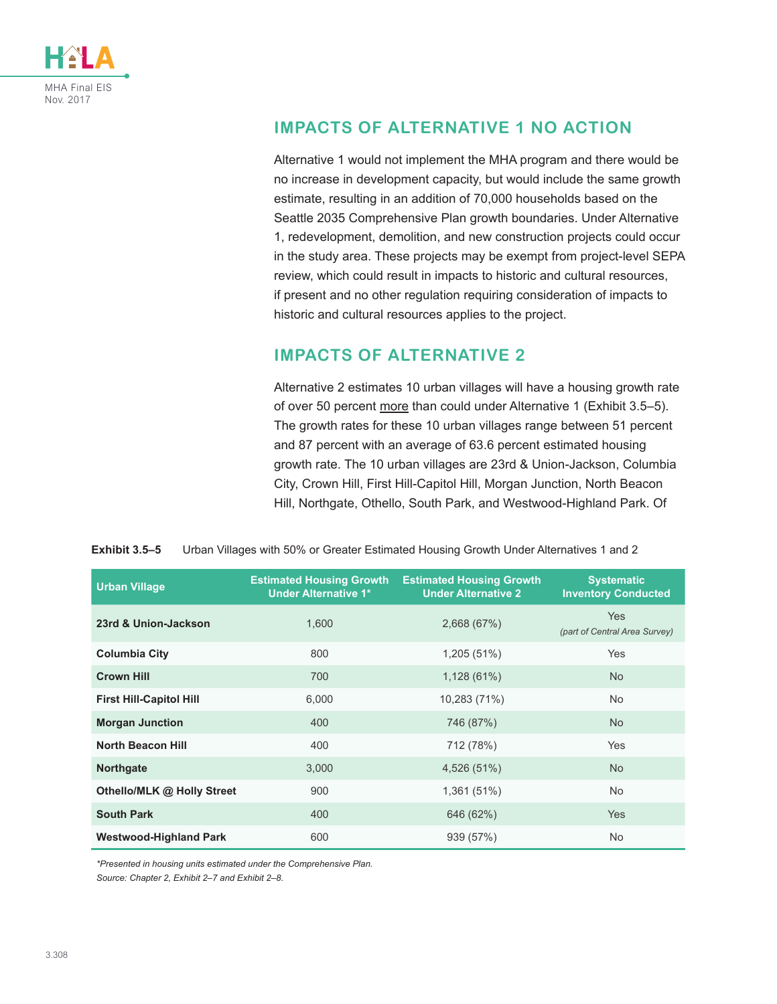

### **IMPACTS OF ALTERNATIVE 1 NO ACTION**

Alternative 1 would not implement the MHA program and there would be no increase in development capacity, but would include the same growth estimate, resulting in an addition of 70,000 households based on the Seattle 2035 Comprehensive Plan growth boundaries. Under Alternative 1, redevelopment, demolition, and new construction projects could occur in the study area. These projects may be exempt from project-level SEPA review, which could result in impacts to historic and cultural resources, if present and no other regulation requiring consideration of impacts to historic and cultural resources applies to the project.

### **IMPACTS OF ALTERNATIVE 2**

<span id="page-13-0"></span>Alternative 2 estimates 10 urban villages will have a housing growth rate of over 50 percent more than could under Alternative 1 ([Exhibit 3.5–5](#page-13-0)). The growth rates for these 10 urban villages range between 51 percent and 87 percent with an average of 63.6 percent estimated housing growth rate. The 10 urban villages are 23rd & Union-Jackson, Columbia City, Crown Hill, First Hill-Capitol Hill, Morgan Junction, North Beacon Hill, Northgate, Othello, South Park, and Westwood-Highland Park. Of

**Exhibit 3.5–5** Urban Villages with 50% or Greater Estimated Housing Growth Under Alternatives 1 and 2

| <b>Urban Village</b>           | <b>Estimated Housing Growth</b><br><b>Under Alternative 1*</b> | <b>Estimated Housing Growth</b><br><b>Under Alternative 2</b> | <b>Systematic</b><br><b>Inventory Conducted</b> |
|--------------------------------|----------------------------------------------------------------|---------------------------------------------------------------|-------------------------------------------------|
| 23rd & Union-Jackson           | 1.600                                                          | 2,668 (67%)                                                   | <b>Yes</b><br>(part of Central Area Survey)     |
| <b>Columbia City</b>           | 800                                                            | 1,205(51%)                                                    | <b>Yes</b>                                      |
| <b>Crown Hill</b>              | 700                                                            | 1,128(61%)                                                    | <b>No</b>                                       |
| <b>First Hill-Capitol Hill</b> | 6,000                                                          | 10,283 (71%)                                                  | <b>No</b>                                       |
| <b>Morgan Junction</b>         | 400                                                            | 746 (87%)                                                     | <b>No</b>                                       |
| <b>North Beacon Hill</b>       | 400                                                            | 712 (78%)                                                     | <b>Yes</b>                                      |
| <b>Northgate</b>               | 3,000                                                          | 4,526 (51%)                                                   | <b>No</b>                                       |
| Othello/MLK @ Holly Street     | 900                                                            | 1,361(51%)                                                    | <b>No</b>                                       |
| <b>South Park</b>              | 400                                                            | 646 (62%)                                                     | <b>Yes</b>                                      |
| <b>Westwood-Highland Park</b>  | 600                                                            | 939 (57%)                                                     | <b>No</b>                                       |

*\*Presented in housing units estimated under the Comprehensive Plan.*

*Source: Chapter 2, Exhibit 2–7 and Exhibit 2–8.*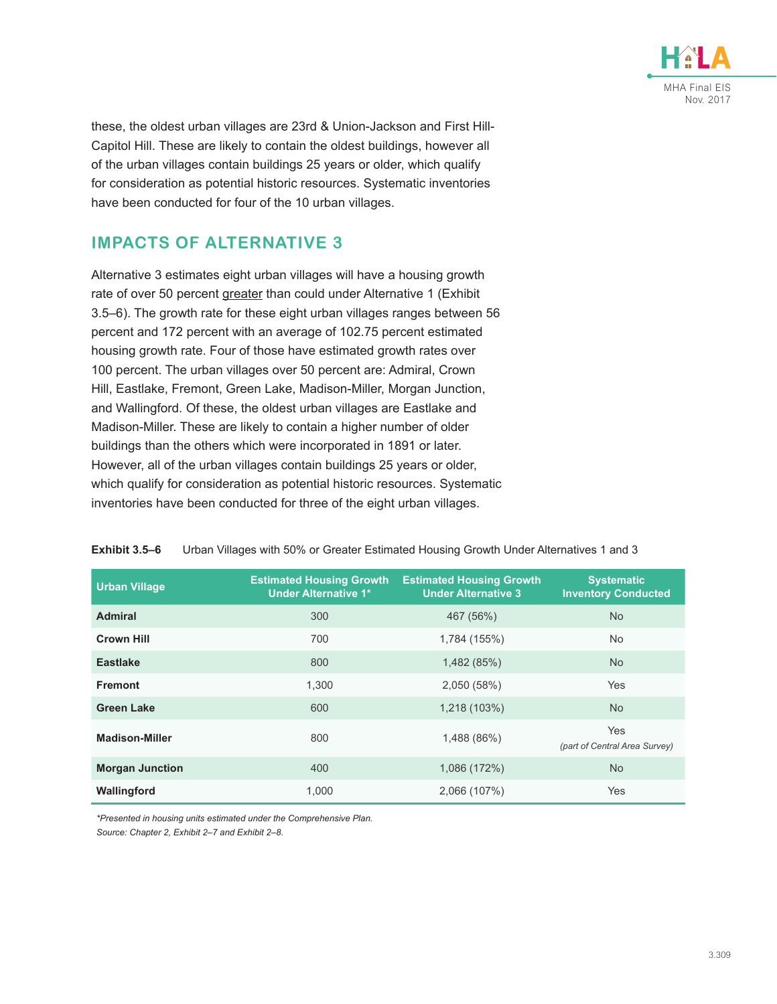

these, the oldest urban villages are 23rd & Union-Jackson and First Hill-Capitol Hill. These are likely to contain the oldest buildings, however all of the urban villages contain buildings 25 years or older, which qualify for consideration as potential historic resources. Systematic inventories have been conducted for four of the 10 urban villages.

### **IMPACTS OF ALTERNATIVE 3**

Alternative 3 estimates eight urban villages will have a housing growth rate of over 50 percent greater than could under Alternative 1 ([Exhibit](#page-14-0)  [3.5–6](#page-14-0)). The growth rate for these eight urban villages ranges between 56 percent and 172 percent with an average of 102.75 percent estimated housing growth rate. Four of those have estimated growth rates over 100 percent. The urban villages over 50 percent are: Admiral, Crown Hill, Eastlake, Fremont, Green Lake, Madison-Miller, Morgan Junction, and Wallingford. Of these, the oldest urban villages are Eastlake and Madison-Miller. These are likely to contain a higher number of older buildings than the others which were incorporated in 1891 or later. However, all of the urban villages contain buildings 25 years or older, which qualify for consideration as potential historic resources. Systematic inventories have been conducted for three of the eight urban villages.

| <b>Urban Village</b>   | <b>Estimated Housing Growth</b><br><b>Under Alternative 1*</b> | <b>Estimated Housing Growth</b><br><b>Under Alternative 3</b> | <b>Systematic</b><br><b>Inventory Conducted</b> |
|------------------------|----------------------------------------------------------------|---------------------------------------------------------------|-------------------------------------------------|
| <b>Admiral</b>         | 300                                                            | 467 (56%)                                                     | <b>No</b>                                       |
| <b>Crown Hill</b>      | 700                                                            | 1,784 (155%)                                                  | <b>No</b>                                       |
| <b>Eastlake</b>        | 800                                                            | 1,482 (85%)                                                   | <b>No</b>                                       |
| <b>Fremont</b>         | 1.300                                                          | 2,050 (58%)                                                   | Yes                                             |
| <b>Green Lake</b>      | 600                                                            | 1,218 (103%)                                                  | <b>No</b>                                       |
| <b>Madison-Miller</b>  | 800                                                            | 1,488 (86%)                                                   | <b>Yes</b><br>(part of Central Area Survey)     |
| <b>Morgan Junction</b> | 400                                                            | 1,086 (172%)                                                  | <b>No</b>                                       |
| Wallingford            | 1,000                                                          | 2,066 (107%)                                                  | Yes                                             |

#### <span id="page-14-0"></span>**Exhibit 3.5–6** Urban Villages with 50% or Greater Estimated Housing Growth Under Alternatives 1 and 3

*\*Presented in housing units estimated under the Comprehensive Plan. Source: Chapter 2, Exhibit 2–7 and Exhibit 2–8.*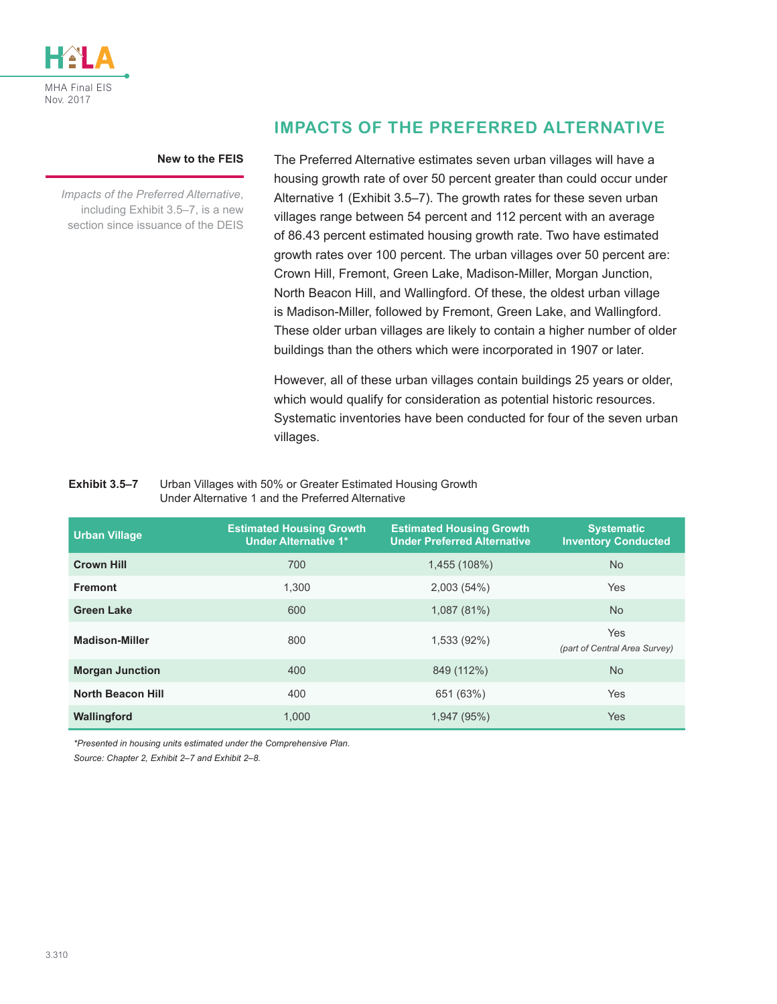

#### **New to the FEIS**

*Impacts of the Preferred Alternative*, including [Exhibit 3.5–7](#page-15-0), is a new section since issuance of the DEIS

### **IMPACTS OF THE PREFERRED ALTERNATIVE**

The Preferred Alternative estimates seven urban villages will have a housing growth rate of over 50 percent greater than could occur under Alternative 1 ([Exhibit 3.5–7](#page-15-0)). The growth rates for these seven urban villages range between 54 percent and 112 percent with an average of 86.43 percent estimated housing growth rate. Two have estimated growth rates over 100 percent. The urban villages over 50 percent are: Crown Hill, Fremont, Green Lake, Madison-Miller, Morgan Junction, North Beacon Hill, and Wallingford. Of these, the oldest urban village is Madison-Miller, followed by Fremont, Green Lake, and Wallingford. These older urban villages are likely to contain a higher number of older buildings than the others which were incorporated in 1907 or later.

<span id="page-15-0"></span>However, all of these urban villages contain buildings 25 years or older, which would qualify for consideration as potential historic resources. Systematic inventories have been conducted for four of the seven urban villages.

#### **Exhibit 3.5–7** Urban Villages with 50% or Greater Estimated Housing Growth Under Alternative 1 and the Preferred Alternative

| <b>Urban Village</b>     | <b>Estimated Housing Growth</b><br><b>Under Alternative 1*</b> | <b>Estimated Housing Growth</b><br><b>Under Preferred Alternative</b> | <b>Systematic</b><br><b>Inventory Conducted</b> |
|--------------------------|----------------------------------------------------------------|-----------------------------------------------------------------------|-------------------------------------------------|
| <b>Crown Hill</b>        | 700                                                            | 1,455 (108%)                                                          | No.                                             |
| <b>Fremont</b>           | 1.300                                                          | 2,003(54%)                                                            | <b>Yes</b>                                      |
| <b>Green Lake</b>        | 600                                                            | 1,087 (81%)                                                           | No.                                             |
| <b>Madison-Miller</b>    | 800                                                            | 1,533 (92%)                                                           | <b>Yes</b><br>(part of Central Area Survey)     |
| <b>Morgan Junction</b>   | 400                                                            | 849 (112%)                                                            | <b>No</b>                                       |
| <b>North Beacon Hill</b> | 400                                                            | 651 (63%)                                                             | <b>Yes</b>                                      |
| Wallingford              | 1.000                                                          | 1,947 (95%)                                                           | <b>Yes</b>                                      |

*\*Presented in housing units estimated under the Comprehensive Plan.*

*Source: Chapter 2, Exhibit 2–7 and Exhibit 2–8.*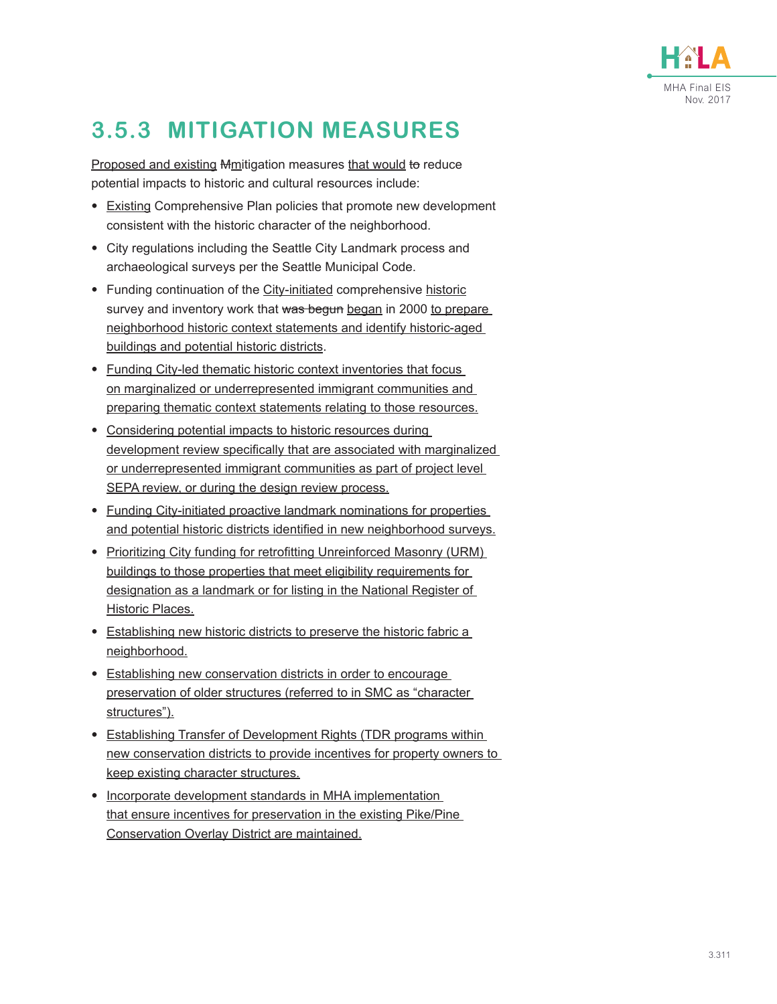

# **3.5.3 MITIGATION MEASURES**

Proposed and existing Mmitigation measures that would to reduce potential impacts to historic and cultural resources include:

- Existing Comprehensive Plan policies that promote new development consistent with the historic character of the neighborhood.
- City regulations including the Seattle City Landmark process and archaeological surveys per the Seattle Municipal Code.
- Funding continuation of the City-initiated comprehensive historic survey and inventory work that was begun began in 2000 to prepare neighborhood historic context statements and identify historic-aged buildings and potential historic districts.
- Funding City-led thematic historic context inventories that focus on marginalized or underrepresented immigrant communities and preparing thematic context statements relating to those resources.
- Considering potential impacts to historic resources during development review specifically that are associated with marginalized or underrepresented immigrant communities as part of project level SEPA review, or during the design review process.
- Funding City-initiated proactive landmark nominations for properties and potential historic districts identified in new neighborhood surveys.
- Prioritizing City funding for retrofitting Unreinforced Masonry (URM) buildings to those properties that meet eligibility requirements for designation as a landmark or for listing in the National Register of Historic Places.
- Establishing new historic districts to preserve the historic fabric a neighborhood.
- Establishing new conservation districts in order to encourage preservation of older structures (referred to in SMC as "character structures").
- Establishing Transfer of Development Rights (TDR programs within new conservation districts to provide incentives for property owners to keep existing character structures.
- Incorporate development standards in MHA implementation that ensure incentives for preservation in the existing Pike/Pine Conservation Overlay District are maintained.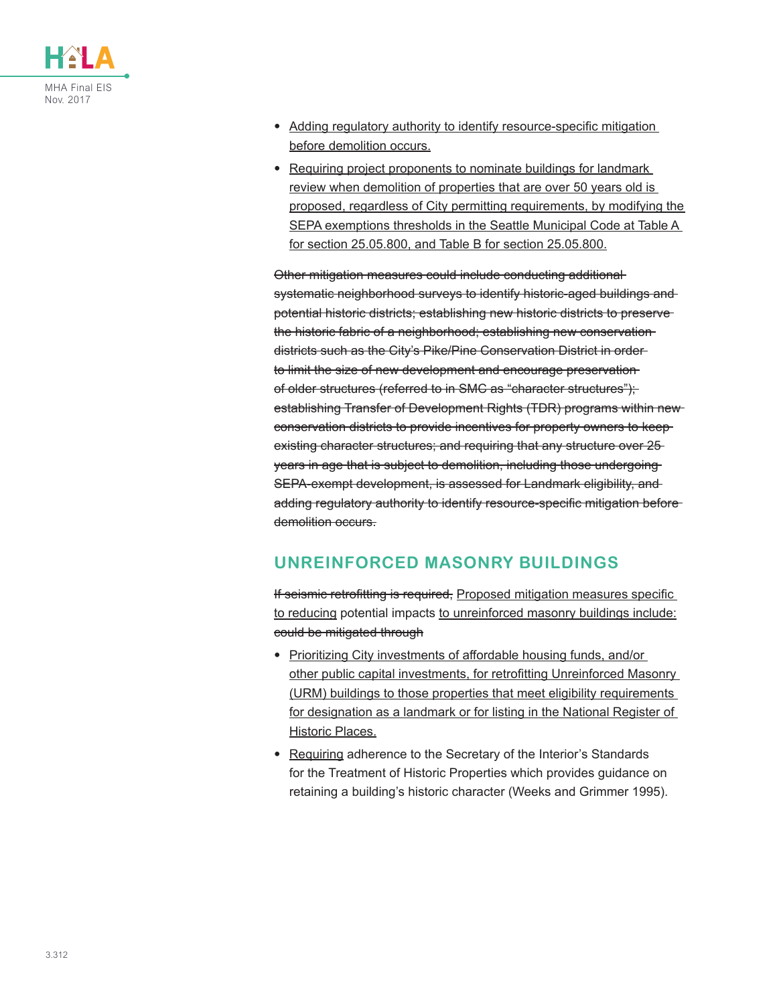

- Adding regulatory authority to identify resource-specific mitigation before demolition occurs.
- Requiring project proponents to nominate buildings for landmark review when demolition of properties that are over 50 years old is proposed, regardless of City permitting requirements, by modifying the SEPA exemptions thresholds in the Seattle Municipal Code at Table A for section 25.05.800, and Table B for section 25.05.800.

Other mitigation measures could include conducting additional systematic neighborhood surveys to identify historic-aged buildings and potential historic districts; establishing new historic districts to preserve the historic fabric of a neighborhood; establishing new conservation districts such as the City's Pike/Pine Conservation District in order to limit the size of new development and encourage preservation of older structures (referred to in SMC as "character structures"); establishing Transfer of Development Rights (TDR) programs within new conservation districts to provide incentives for property owners to keep existing character structures; and requiring that any structure over 25 years in age that is subject to demolition, including those undergoing SEPA-exempt development, is assessed for Landmark eligibility, and adding regulatory authority to identify resource-specific mitigation before demolition occurs.

### **UNREINFORCED MASONRY BUILDINGS**

If seismic retrofitting is required, Proposed mitigation measures specific to reducing potential impacts to unreinforced masonry buildings include: could be mitigated through

- Prioritizing City investments of affordable housing funds, and/or other public capital investments, for retrofitting Unreinforced Masonry (URM) buildings to those properties that meet eligibility requirements for designation as a landmark or for listing in the National Register of Historic Places.
- Requiring adherence to the Secretary of the Interior's Standards for the Treatment of Historic Properties which provides guidance on retaining a building's historic character (Weeks and Grimmer 1995).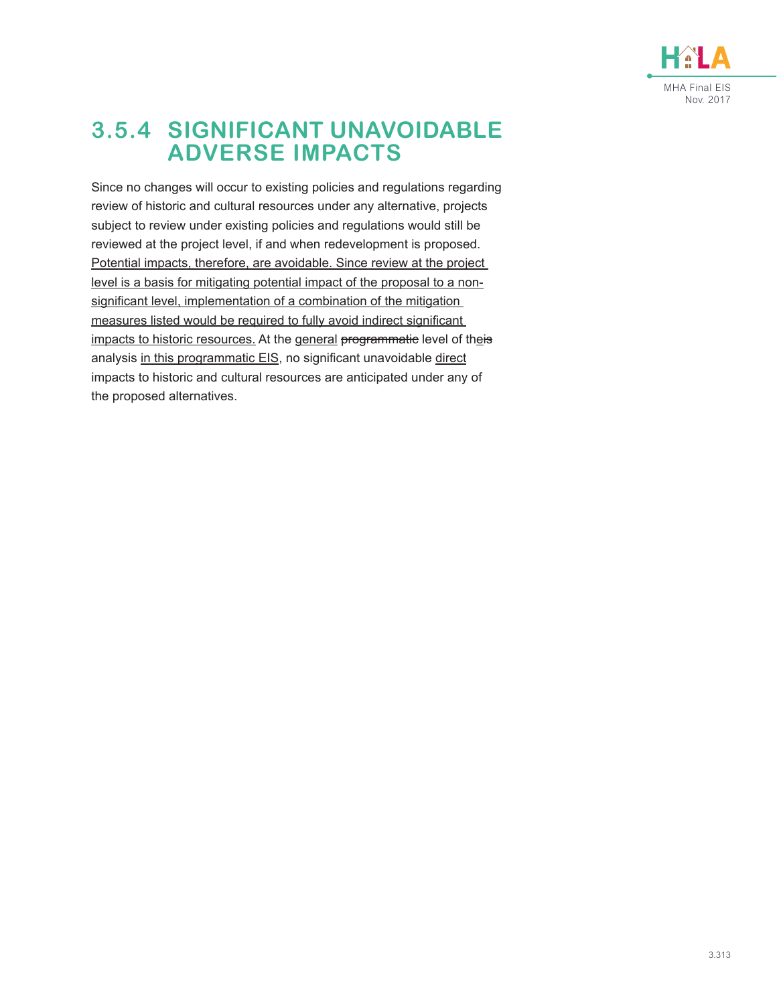

## **3.5.4 SIGNIFICANT UNAVOIDABLE ADVERSE IMPACTS**

Since no changes will occur to existing policies and regulations regarding review of historic and cultural resources under any alternative, projects subject to review under existing policies and regulations would still be reviewed at the project level, if and when redevelopment is proposed. Potential impacts, therefore, are avoidable. Since review at the project level is a basis for mitigating potential impact of the proposal to a nonsignificant level, implementation of a combination of the mitigation measures listed would be required to fully avoid indirect significant impacts to historic resources. At the general programmatic level of theis analysis in this programmatic EIS, no significant unavoidable direct impacts to historic and cultural resources are anticipated under any of the proposed alternatives.